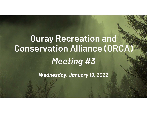# Ouray Recreation and Conservation Alliance (ORCA) *Meeting #3*

*Wednesday, January 19, 2022*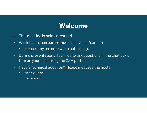# **Welcome**

- •This meeting is being recorded.
- • Participants can control audio and visual/camera
	- •Please stay on mute when not talking.
- • During presentations, feel free to ask questions in the chat box or turn on your mic during the Q&A portion.
- • Have a technical question? Please message the hosts!
	- •Maddie Rehn
	- •Joe Lavorini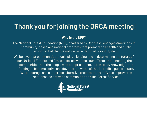# Thank you for joining the ORCA meeting!

#### **Who is the NFF?**

The National Forest Foundation (NFF), chartered by Congress, engages Americans in community-based and national programs that promote the health and public enjoyment of the 193-million-acre National Forest System.

We believe that communities should play a leading role in determining the future of our National Forests and Grasslands, so we focus our efforts on connecting these communities, and the people who comprise them, to the tools, knowledge, and funding to become active and devoted stewards of this incredible public estate. We encourage and support collaborative processes and strive to improve the relationships between communities and the Forest Service.

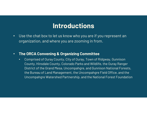## **Introductions**

- • Use the chat box to let us know who you are if you represent an organization, and where you are zooming in from.
- • **The ORCA Convening & Organizing Committee**
	- • Comprised of Ouray County, City of Ouray, Town of Ridgway, Gunnison County, Hinsdale County, Colorado Parks and Wildlife, the Ouray Ranger District of the Grand Mesa, Uncompahgre, and Gunnison National Forests, the Bureau of Land Management, the Uncompahgre Field Office, and the Uncompahgre Watershed Partnership, and the National Forest Foundation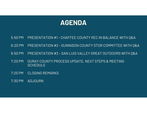# **AGENDA**

- 5:50 PM PRESENTATION #1 CHAFFEE COUNTY REC IN BALANCE WITH Q&A
- 6:20 PM PRESENTATION #2 GUNNISON COUNTY STOR COMMITTEE WITH Q&A
- 6:50 PM PRESENTATION #3 SAN LUIS VALLEY GREAT OUTDOORS WITH Q&A
- 7:20 PM OURAY COUNTY PROCESS UPDATE, NEXT STEPS & MEETING SCHEDULE
- 7:25 PM CLOSING REMARKS
- 7:30 PM ADJOURN